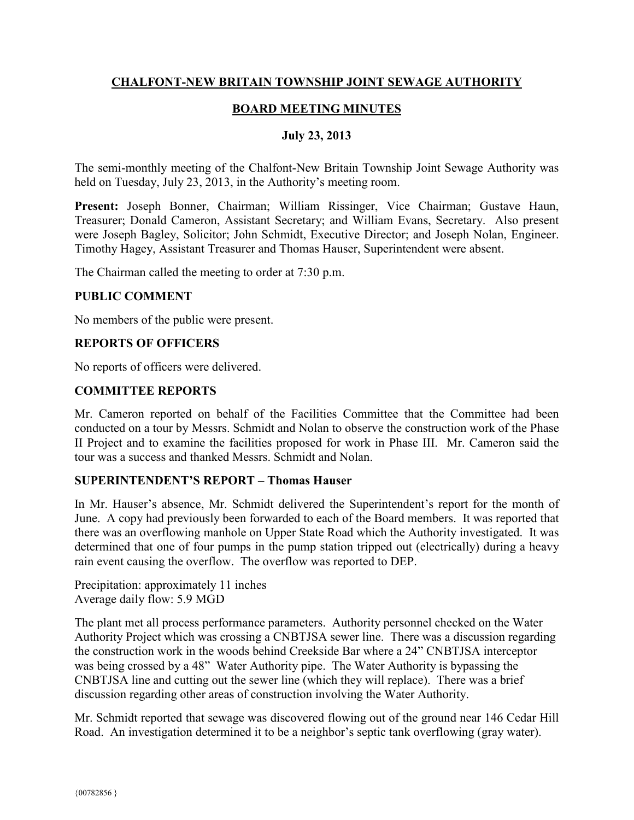## **CHALFONT-NEW BRITAIN TOWNSHIP JOINT SEWAGE AUTHORITY**

# **BOARD MEETING MINUTES**

#### **July 23, 2013**

The semi-monthly meeting of the Chalfont-New Britain Township Joint Sewage Authority was held on Tuesday, July 23, 2013, in the Authority's meeting room.

**Present:** Joseph Bonner, Chairman; William Rissinger, Vice Chairman; Gustave Haun, Treasurer; Donald Cameron, Assistant Secretary; and William Evans, Secretary. Also present were Joseph Bagley, Solicitor; John Schmidt, Executive Director; and Joseph Nolan, Engineer. Timothy Hagey, Assistant Treasurer and Thomas Hauser, Superintendent were absent.

The Chairman called the meeting to order at 7:30 p.m.

#### **PUBLIC COMMENT**

No members of the public were present.

#### **REPORTS OF OFFICERS**

No reports of officers were delivered.

#### **COMMITTEE REPORTS**

Mr. Cameron reported on behalf of the Facilities Committee that the Committee had been conducted on a tour by Messrs. Schmidt and Nolan to observe the construction work of the Phase II Project and to examine the facilities proposed for work in Phase III. Mr. Cameron said the tour was a success and thanked Messrs. Schmidt and Nolan.

## **SUPERINTENDENT'S REPORT – Thomas Hauser**

In Mr. Hauser's absence, Mr. Schmidt delivered the Superintendent's report for the month of June. A copy had previously been forwarded to each of the Board members. It was reported that there was an overflowing manhole on Upper State Road which the Authority investigated. It was determined that one of four pumps in the pump station tripped out (electrically) during a heavy rain event causing the overflow. The overflow was reported to DEP.

Precipitation: approximately 11 inches Average daily flow: 5.9 MGD

The plant met all process performance parameters. Authority personnel checked on the Water Authority Project which was crossing a CNBTJSA sewer line. There was a discussion regarding the construction work in the woods behind Creekside Bar where a 24" CNBTJSA interceptor was being crossed by a 48" Water Authority pipe. The Water Authority is bypassing the CNBTJSA line and cutting out the sewer line (which they will replace). There was a brief discussion regarding other areas of construction involving the Water Authority.

Mr. Schmidt reported that sewage was discovered flowing out of the ground near 146 Cedar Hill Road. An investigation determined it to be a neighbor's septic tank overflowing (gray water).